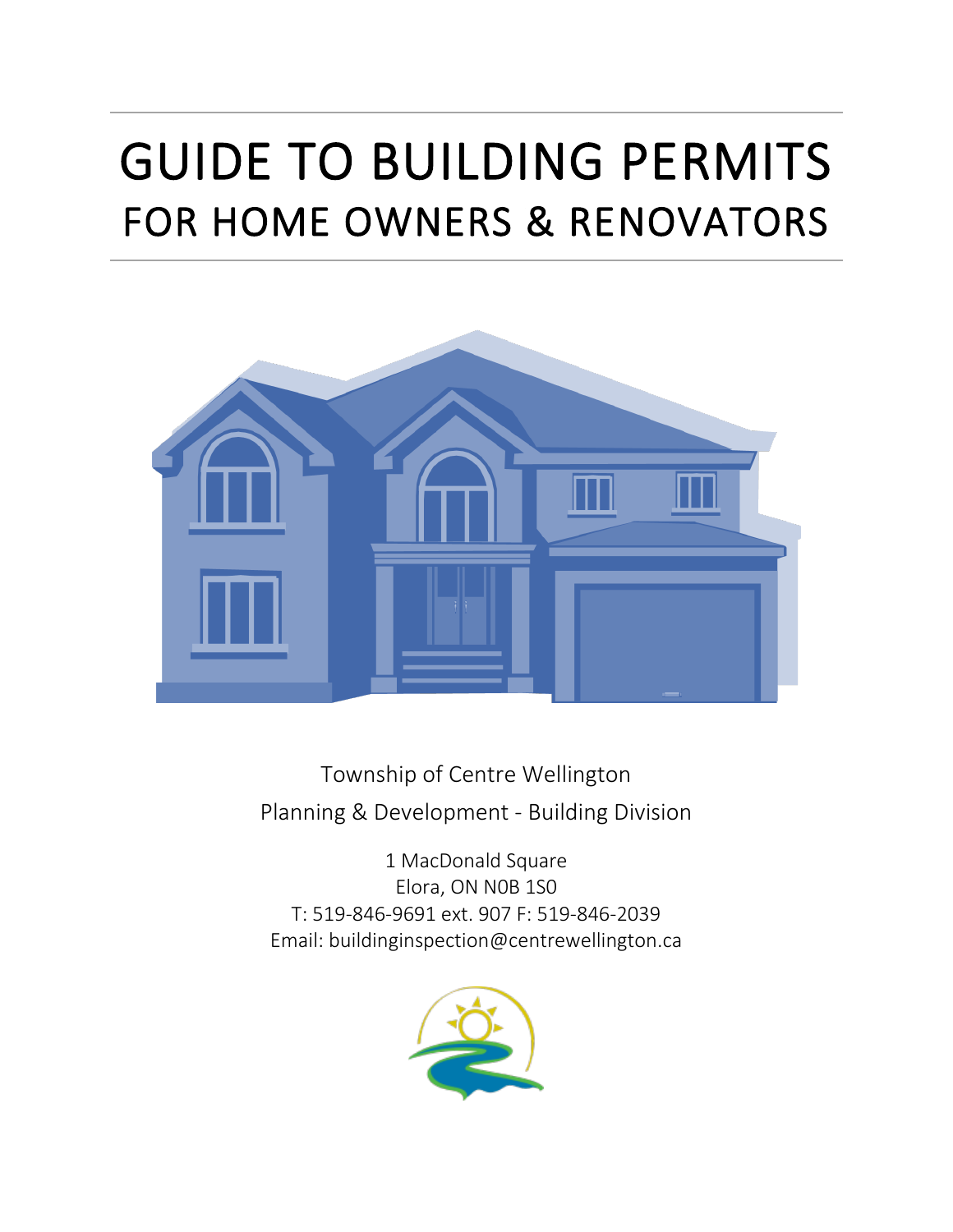# GUIDE TO BUILDING PERMITS FOR HOME OWNERS & RENOVATORS



Township of Centre Wellington Planning & Development - Building Division

1 MacDonald Square Elora, ON N0B 1S0 T: 519-846-9691 ext. 907 F: 519-846-2039 Email: buildinginspection@centrewellington.ca

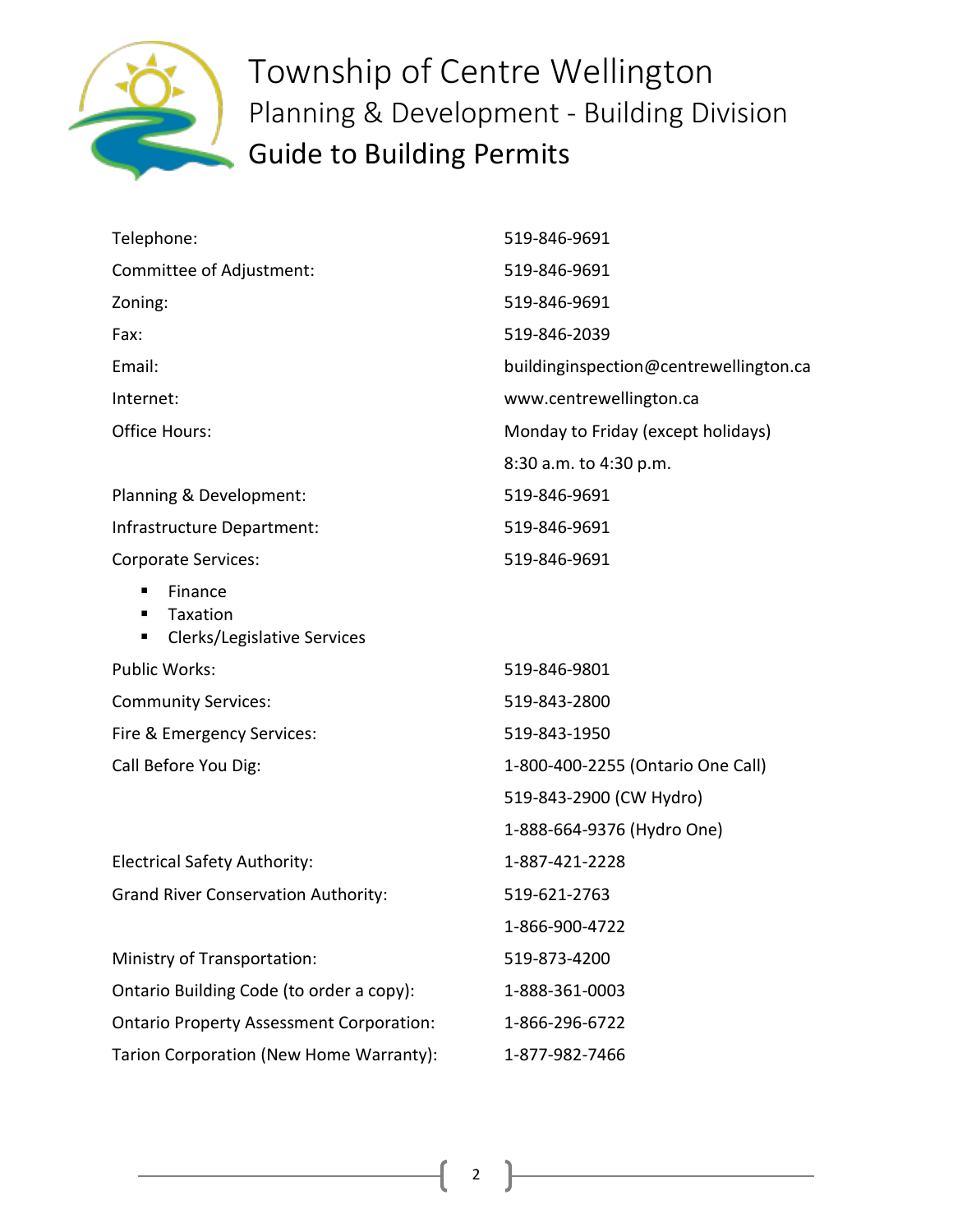

| Telephone:                                                        | 519-846-9691                           |
|-------------------------------------------------------------------|----------------------------------------|
| Committee of Adjustment:                                          | 519-846-9691                           |
| Zoning:                                                           | 519-846-9691                           |
| Fax:                                                              | 519-846-2039                           |
| Email:                                                            | buildinginspection@centrewellington.ca |
| Internet:                                                         | www.centrewellington.ca                |
| <b>Office Hours:</b>                                              | Monday to Friday (except holidays)     |
|                                                                   | 8:30 a.m. to 4:30 p.m.                 |
| Planning & Development:                                           | 519-846-9691                           |
| Infrastructure Department:                                        | 519-846-9691                           |
| <b>Corporate Services:</b>                                        | 519-846-9691                           |
| Finance<br>п<br>Taxation<br>п<br>Clerks/Legislative Services<br>п |                                        |
| Public Works:                                                     | 519-846-9801                           |
| <b>Community Services:</b>                                        | 519-843-2800                           |
| Fire & Emergency Services:                                        | 519-843-1950                           |
| Call Before You Dig:                                              | 1-800-400-2255 (Ontario One Call)      |
|                                                                   | 519-843-2900 (CW Hydro)                |
|                                                                   | 1-888-664-9376 (Hydro One)             |
| <b>Electrical Safety Authority:</b>                               | 1-887-421-2228                         |
| <b>Grand River Conservation Authority:</b>                        | 519-621-2763                           |
|                                                                   | 1-866-900-4722                         |
| Ministry of Transportation:                                       | 519-873-4200                           |
| Ontario Building Code (to order a copy):                          | 1-888-361-0003                         |
| <b>Ontario Property Assessment Corporation:</b>                   | 1-866-296-6722                         |
| Tarion Corporation (New Home Warranty):                           | 1-877-982-7466                         |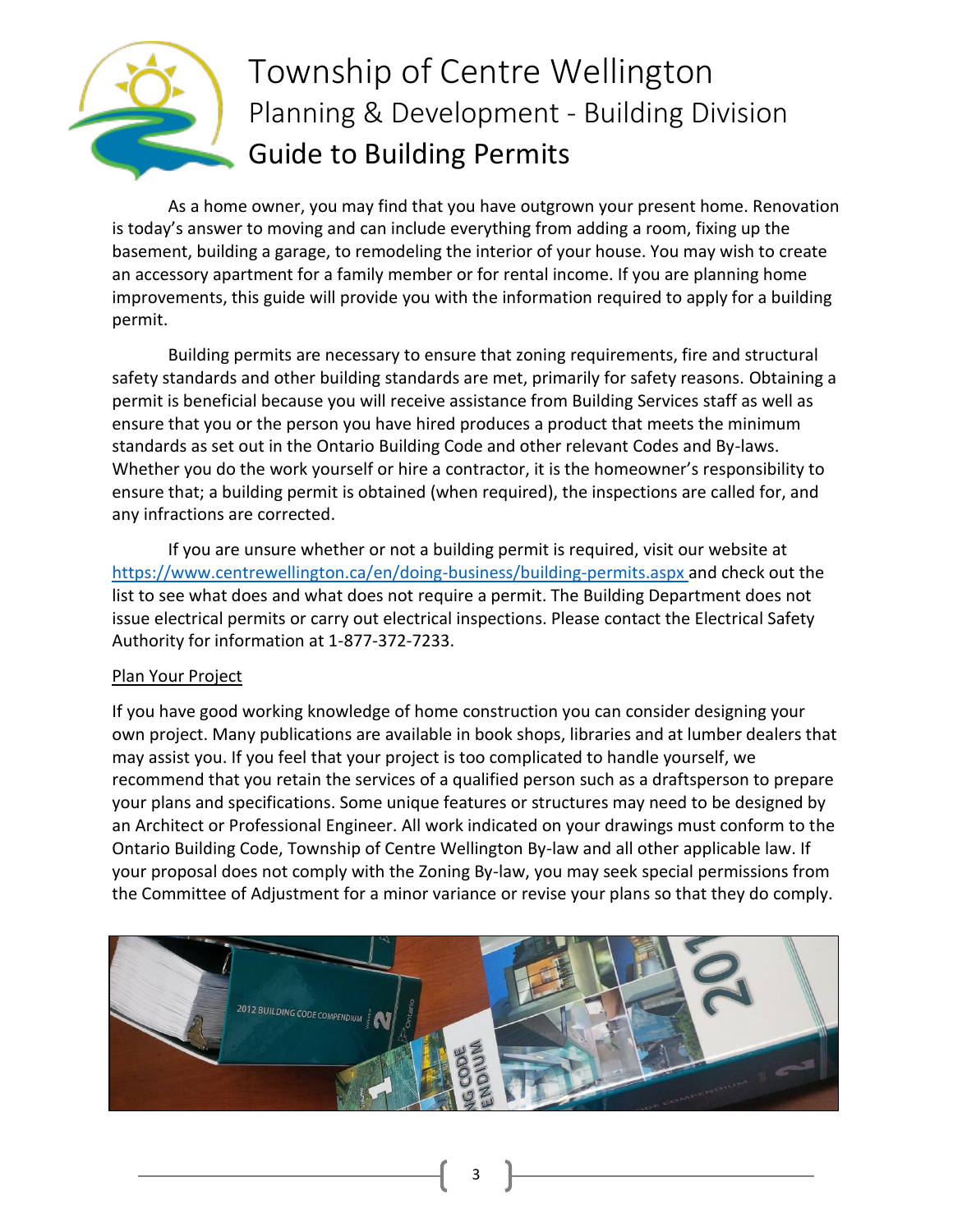

As a home owner, you may find that you have outgrown your present home. Renovation is today's answer to moving and can include everything from adding a room, fixing up the basement, building a garage, to remodeling the interior of your house. You may wish to create an accessory apartment for a family member or for rental income. If you are planning home improvements, this guide will provide you with the information required to apply for a building permit.

Building permits are necessary to ensure that zoning requirements, fire and structural safety standards and other building standards are met, primarily for safety reasons. Obtaining a permit is beneficial because you will receive assistance from Building Services staff as well as ensure that you or the person you have hired produces a product that meets the minimum standards as set out in the Ontario Building Code and other relevant Codes and By-laws. Whether you do the work yourself or hire a contractor, it is the homeowner's responsibility to ensure that; a building permit is obtained (when required), the inspections are called for, and any infractions are corrected.

If you are unsure whether or not a building permit is required, visit our website at <https://www.centrewellington.ca/en/doing-business/building-permits.aspx> and check out the list to see what does and what does not require a permit. The Building Department does not issue electrical permits or carry out electrical inspections. Please contact the Electrical Safety Authority for information at 1-877-372-7233.

#### Plan Your Project

If you have good working knowledge of home construction you can consider designing your own project. Many publications are available in book shops, libraries and at lumber dealers that may assist you. If you feel that your project is too complicated to handle yourself, we recommend that you retain the services of a qualified person such as a draftsperson to prepare your plans and specifications. Some unique features or structures may need to be designed by an Architect or Professional Engineer. All work indicated on your drawings must conform to the Ontario Building Code, Township of Centre Wellington By-law and all other applicable law. If your proposal does not comply with the Zoning By-law, you may seek special permissions from the Committee of Adjustment for a minor variance or revise your plans so that they do comply.



3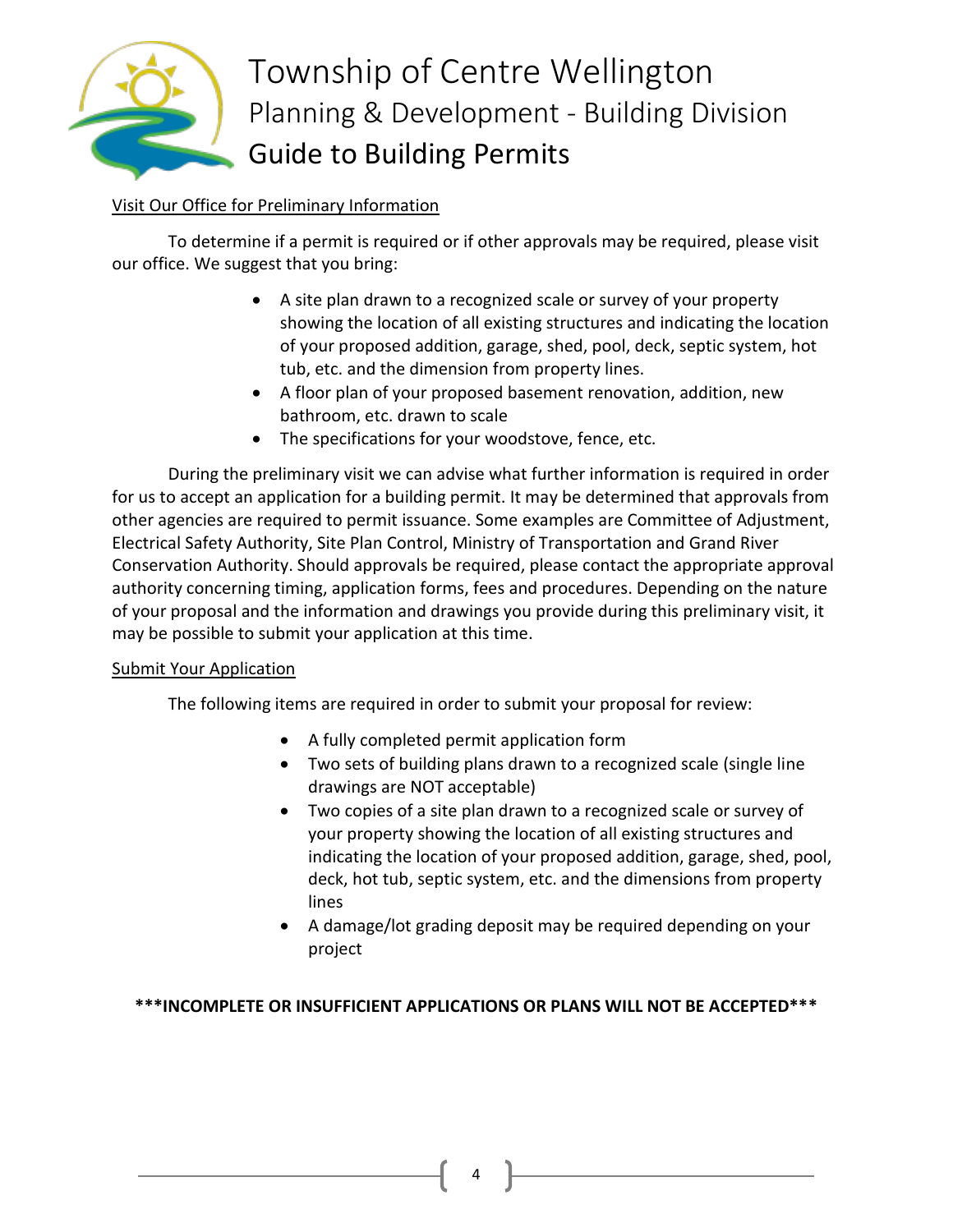

## Visit Our Office for Preliminary Information

To determine if a permit is required or if other approvals may be required, please visit our office. We suggest that you bring:

- A site plan drawn to a recognized scale or survey of your property showing the location of all existing structures and indicating the location of your proposed addition, garage, shed, pool, deck, septic system, hot tub, etc. and the dimension from property lines.
- A floor plan of your proposed basement renovation, addition, new bathroom, etc. drawn to scale
- The specifications for your woodstove, fence, etc.

During the preliminary visit we can advise what further information is required in order for us to accept an application for a building permit. It may be determined that approvals from other agencies are required to permit issuance. Some examples are Committee of Adjustment, Electrical Safety Authority, Site Plan Control, Ministry of Transportation and Grand River Conservation Authority. Should approvals be required, please contact the appropriate approval authority concerning timing, application forms, fees and procedures. Depending on the nature of your proposal and the information and drawings you provide during this preliminary visit, it may be possible to submit your application at this time.

#### Submit Your Application

The following items are required in order to submit your proposal for review:

- A fully completed permit application form
- Two sets of building plans drawn to a recognized scale (single line drawings are NOT acceptable)
- Two copies of a site plan drawn to a recognized scale or survey of your property showing the location of all existing structures and indicating the location of your proposed addition, garage, shed, pool, deck, hot tub, septic system, etc. and the dimensions from property lines
- A damage/lot grading deposit may be required depending on your project

### **\*\*\*INCOMPLETE OR INSUFFICIENT APPLICATIONS OR PLANS WILL NOT BE ACCEPTED\*\*\***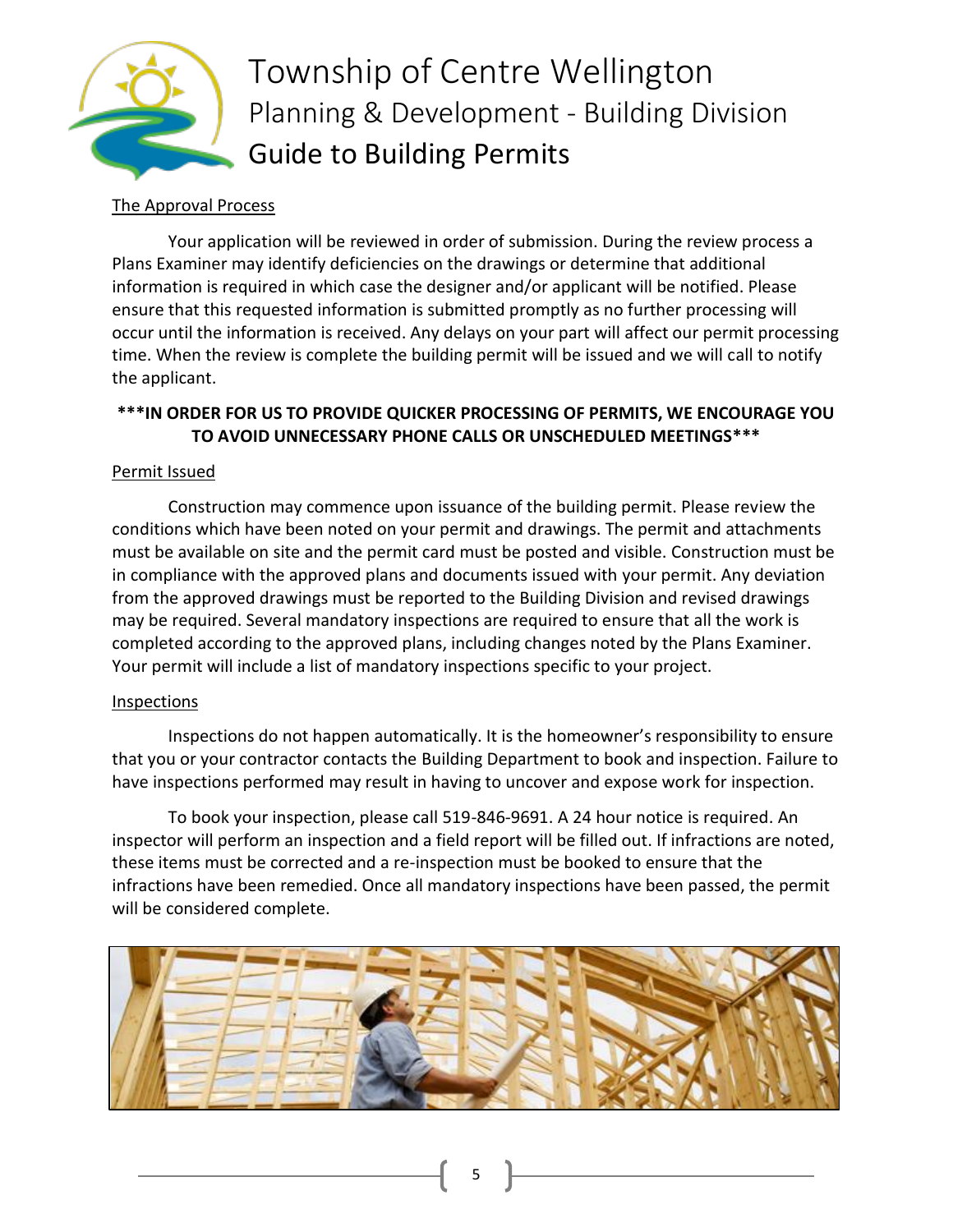

#### The Approval Process

Your application will be reviewed in order of submission. During the review process a Plans Examiner may identify deficiencies on the drawings or determine that additional information is required in which case the designer and/or applicant will be notified. Please ensure that this requested information is submitted promptly as no further processing will occur until the information is received. Any delays on your part will affect our permit processing time. When the review is complete the building permit will be issued and we will call to notify the applicant.

### **\*\*\*IN ORDER FOR US TO PROVIDE QUICKER PROCESSING OF PERMITS, WE ENCOURAGE YOU TO AVOID UNNECESSARY PHONE CALLS OR UNSCHEDULED MEETINGS\*\*\***

### Permit Issued

Construction may commence upon issuance of the building permit. Please review the conditions which have been noted on your permit and drawings. The permit and attachments must be available on site and the permit card must be posted and visible. Construction must be in compliance with the approved plans and documents issued with your permit. Any deviation from the approved drawings must be reported to the Building Division and revised drawings may be required. Several mandatory inspections are required to ensure that all the work is completed according to the approved plans, including changes noted by the Plans Examiner. Your permit will include a list of mandatory inspections specific to your project.

#### Inspections

Inspections do not happen automatically. It is the homeowner's responsibility to ensure that you or your contractor contacts the Building Department to book and inspection. Failure to have inspections performed may result in having to uncover and expose work for inspection.

To book your inspection, please call 519-846-9691. A 24 hour notice is required. An inspector will perform an inspection and a field report will be filled out. If infractions are noted, these items must be corrected and a re-inspection must be booked to ensure that the infractions have been remedied. Once all mandatory inspections have been passed, the permit will be considered complete.



5